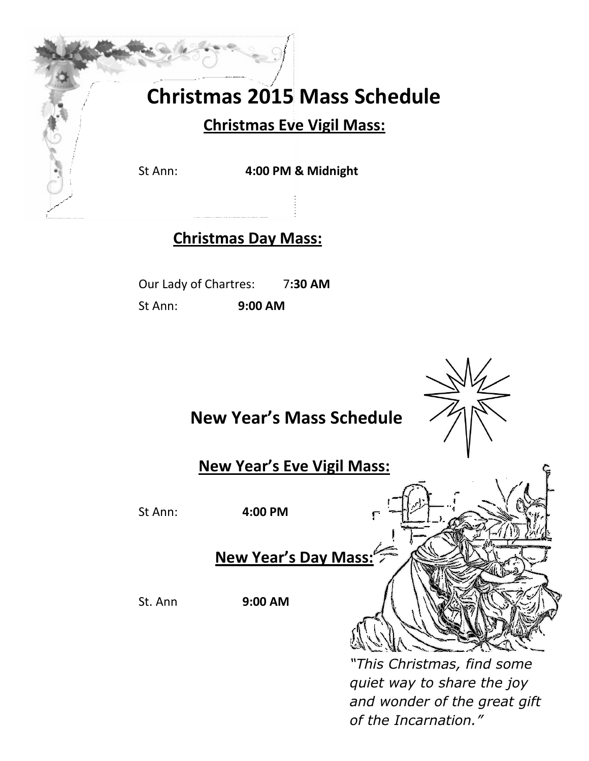## **Christmas 2015 Mass Schedule**

## **Christmas Eve Vigil Mass:**

St Ann: **4:00 PM & Midnight**

## **Christmas Day Mass:**

Our Lady of Chartres: 7**:30 AM**

St Ann: **9:00 AM**



*of the Incarnation."*